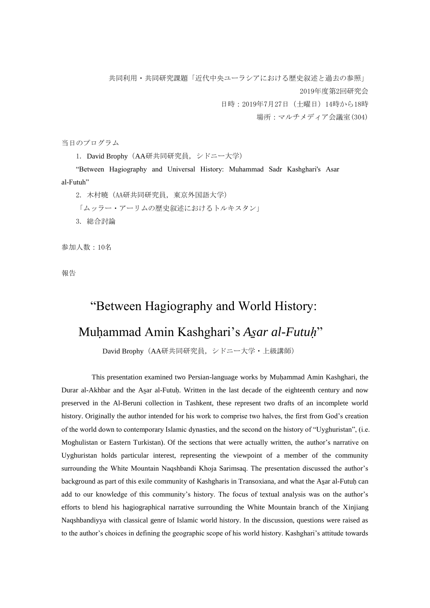共同利用・共同研究課題「近代中央ユーラシアにおける歴史叙述と過去の参照」 2019年度第2回研究会 日時:2019年7月27日(土曜日)14時から18時

場所:マルチメディア会議室(304)

当日のプログラム

1. David Brophy(AA研共同研究員,シドニー大学)

 "Between Hagiography and Universal History: Muhammad Sadr Kashghari's Asar al-Futuh"

 2. 木村暁(AA研共同研究員,東京外国語大学) 「ムッラー・アーリムの歴史叙述におけるトルキスタン」 3. 総合討論

参加人数:10名

報告

## "Between Hagiography and World History:

## Muḥammad Amin Kashghari's *As̱ar al-Futuḥ*"

David Brophy(AA研共同研究員,シドニー大学・上級講師)

This presentation examined two Persian-language works by Muhammad Amin Kashghari, the Durar al-Akhbar and the Asar al-Futuḥ. Written in the last decade of the eighteenth century and now preserved in the Al-Beruni collection in Tashkent, these represent two drafts of an incomplete world history. Originally the author intended for his work to comprise two halves, the first from God's creation of the world down to contemporary Islamic dynasties, and the second on the history of "Uyghuristan", (i.e. Moghulistan or Eastern Turkistan). Of the sections that were actually written, the author's narrative on Uyghuristan holds particular interest, representing the viewpoint of a member of the community surrounding the White Mountain Naqshbandi Khoja Sarimsaq. The presentation discussed the author's background as part of this exile community of Kashgharis in Transoxiana, and what the Asar al-Futuh can add to our knowledge of this community's history. The focus of textual analysis was on the author's efforts to blend his hagiographical narrative surrounding the White Mountain branch of the Xinjiang Naqshbandiyya with classical genre of Islamic world history. In the discussion, questions were raised as to the author's choices in defining the geographic scope of his world history. Kashghari's attitude towards